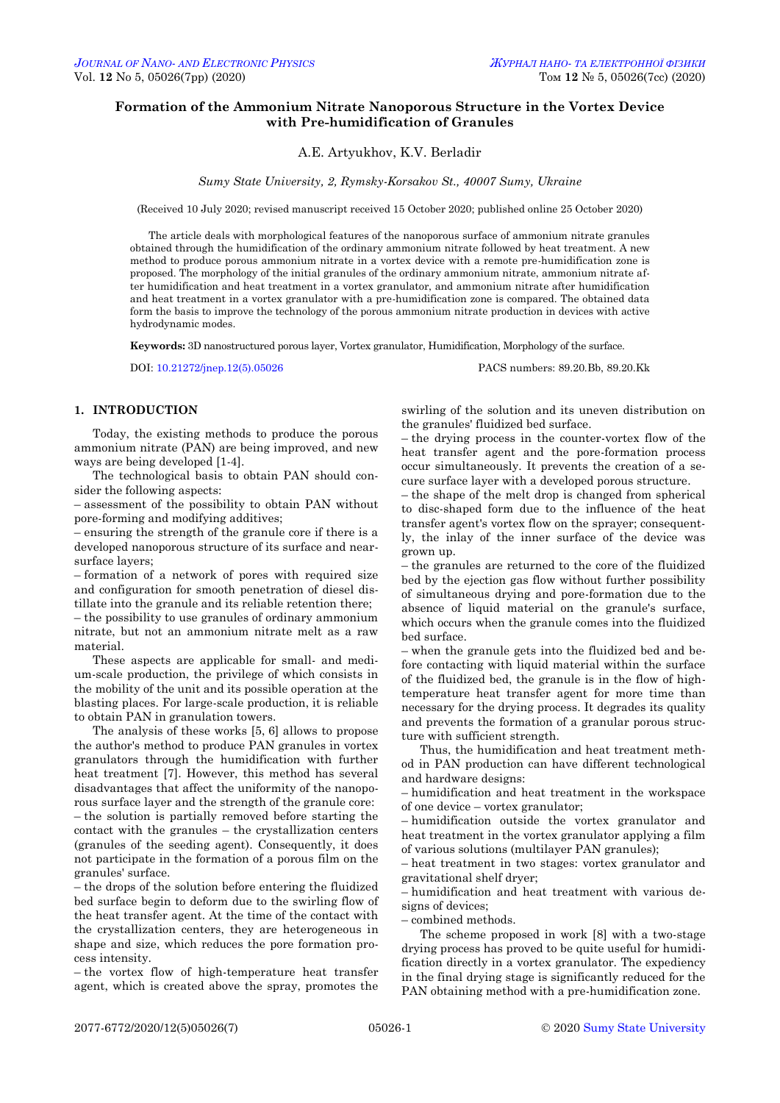# **Formation of the Ammonium Nitrate Nanoporous Structure in the Vortex Device with Pre-humidification of Granules**

## A.E. Artyukhov, K.V. Berladir

*Sumy State University, 2, Rymsky-Korsakov St., 40007 Sumy, Ukraine*

(Received 10 July 2020; revised manuscript received 15 October 2020; published online 25 October 2020)

The article deals with morphological features of the nanoporous surface of ammonium nitrate granules obtained through the humidification of the ordinary ammonium nitrate followed by heat treatment. A new method to produce porous ammonium nitrate in a vortex device with a remote pre-humidification zone is proposed. The morphology of the initial granules of the ordinary ammonium nitrate, ammonium nitrate after humidification and heat treatment in a vortex granulator, and ammonium nitrate after humidification and heat treatment in a vortex granulator with a pre-humidification zone is compared. The obtained data form the basis to improve the technology of the porous ammonium nitrate production in devices with active hydrodynamic modes.

**Keywords:** 3D nanostructured porous layer, Vortex granulator, Humidification, Morphology of the surface.

DOI[: 10.21272/jnep.12\(5\).05026](https://doi.org/10.21272/jnep.12(5).05026) PACS numbers: 89.20.Bb, 89.20.Kk

### **1. INTRODUCTION**

Today, the existing methods to produce the porous ammonium nitrate (PAN) are being improved, and new ways are being developed [1-4].

The technological basis to obtain PAN should consider the following aspects:

– assessment of the possibility to obtain PAN without pore-forming and modifying additives;

– ensuring the strength of the granule core if there is a developed nanoporous structure of its surface and nearsurface layers;

– formation of a network of pores with required size and configuration for smooth penetration of diesel distillate into the granule and its reliable retention there;

– the possibility to use granules of ordinary ammonium nitrate, but not an ammonium nitrate melt as a raw material.

These aspects are applicable for small- and medium-scale production, the privilege of which consists in the mobility of the unit and its possible operation at the blasting places. For large-scale production, it is reliable to obtain PAN in granulation towers.

The analysis of these works [5, 6] allows to propose the author's method to produce PAN granules in vortex granulators through the humidification with further heat treatment [7]. However, this method has several disadvantages that affect the uniformity of the nanoporous surface layer and the strength of the granule core: – the solution is partially removed before starting the contact with the granules – the crystallization centers (granules of the seeding agent). Consequently, it does not participate in the formation of a porous film on the granules' surface.

– the drops of the solution before entering the fluidized bed surface begin to deform due to the swirling flow of the heat transfer agent. At the time of the contact with the crystallization centers, they are heterogeneous in shape and size, which reduces the pore formation process intensity.

<span id="page-0-1"></span><span id="page-0-0"></span>– the vortex flow of high-temperature heat transfer agent, which is created above the spray, promotes the

swirling of the solution and its uneven distribution on the granules' fluidized bed surface.

– the drying process in the counter-vortex flow of the heat transfer agent and the pore-formation process occur simultaneously. It prevents the creation of a secure surface layer with a developed porous structure.

– the shape of the melt drop is changed from spherical to disc-shaped form due to the influence of the heat transfer agent's vortex flow on the sprayer; consequently, the inlay of the inner surface of the device was grown up.

– the granules are returned to the core of the fluidized bed by the ejection gas flow without further possibility of simultaneous drying and pore-formation due to the absence of liquid material on the granule's surface, which occurs when the granule comes into the fluidized bed surface.

– when the granule gets into the fluidized bed and before contacting with liquid material within the surface of the fluidized bed, the granule is in the flow of hightemperature heat transfer agent for more time than necessary for the drying process. It degrades its quality and prevents the formation of a granular porous structure with sufficient strength.

Thus, the humidification and heat treatment method in PAN production can have different technological and hardware designs:

– humidification and heat treatment in the workspace of one device – vortex granulator;

– humidification outside the vortex granulator and heat treatment in the vortex granulator applying a film of various solutions (multilayer PAN granules);

– heat treatment in two stages: vortex granulator and gravitational shelf dryer;

– humidification and heat treatment with various designs of devices;

– combined methods.

The scheme proposed in work [8] with a two-stage drying process has proved to be quite useful for humidification directly in a vortex granulator. The expediency in the final drying stage is significantly reduced for the PAN obtaining method with a pre-humidification zone.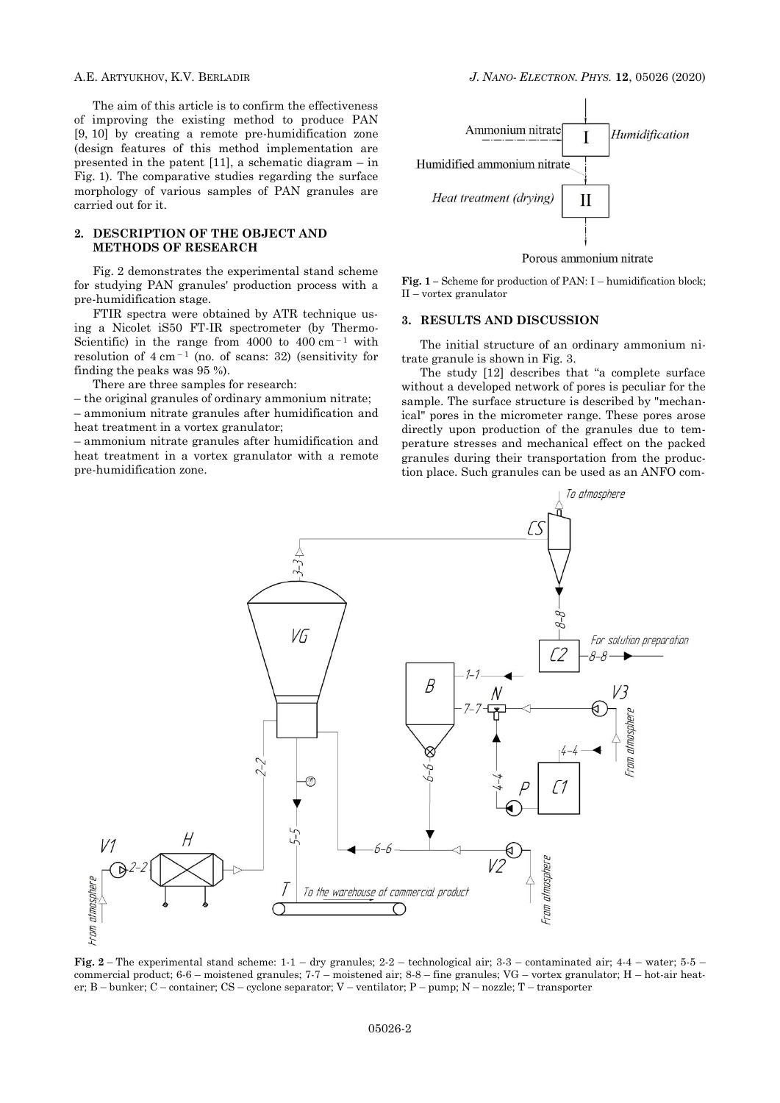The aim of this article is to confirm the effectiveness of improving the existing method to produce PAN [9, 10] by creating a remote pre-humidification zone (design features of this method implementation are presented in the patent [11], a schematic diagram – in Fig. 1). The comparative studies regarding the surface morphology of various samples of PAN granules are carried out for it.

#### **2. DESCRIPTION OF THE OBJECT AND METHODS OF RESEARCH**

Fig. 2 demonstrates the experimental stand scheme for studying PAN granules' production process with a pre-humidification stage.

FTIR spectra were obtained by ATR technique using a Nicolet iS50 FT-IR spectrometer (by Thermo-Scientific) in the range from 4000 to 400 cm<sup> $-1$ </sup> with resolution of  $4 \text{ cm}^{-1}$  (no. of scans: 32) (sensitivity for finding the peaks was 95 %).

There are three samples for research:

– the original granules of ordinary ammonium nitrate; – ammonium nitrate granules after humidification and heat treatment in a vortex granulator;

– ammonium nitrate granules after humidification and heat treatment in a vortex granulator with a remote pre-humidification zone.



**Fig. 1 –** Scheme for production of PAN: I – humidification block; II – vortex granulator

#### **3. RESULTS AND DISCUSSION**

The initial structure of an ordinary ammonium nitrate granule is shown in Fig. 3.

The study [12] describes that "a complete surface without a developed network of pores is peculiar for the sample. The surface structure is described by "mechanical" pores in the micrometer range. These pores arose directly upon production of the granules due to temperature stresses and mechanical effect on the packed granules during their transportation from the production place. Such granules can be used as an ANFO com-



**Fig. 2** – The experimental stand scheme: 1-1 – dry granules; 2-2 – technological air; 3-3 – contaminated air; 4-4 – water; 5-5 – commercial product; 6-6 – moistened granules; 7-7 – moistened air; 8-8 – fine granules; VG – vortex granulator; H – hot-air heater; B – bunker; C – container; CS – cyclone separator; V – ventilator; P – pump; N – nozzle; T – transporter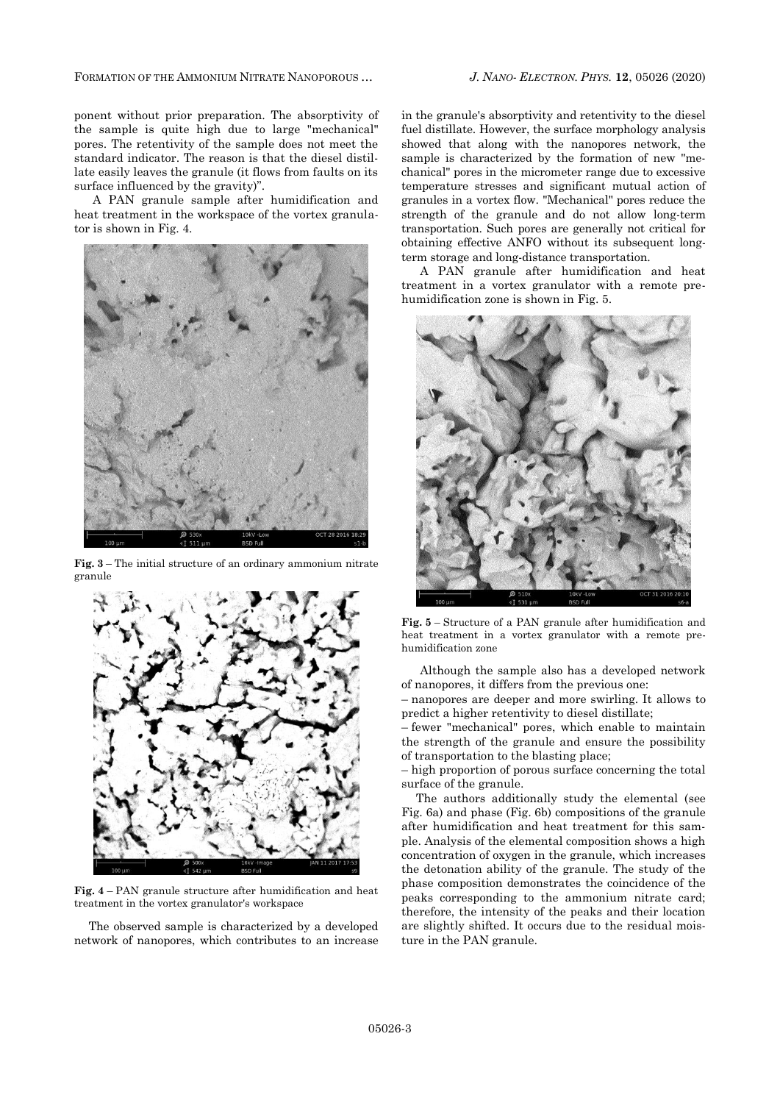FORMATION OF THE AMMONIUM NITRATE NANOPOROUS … *J. NANO- ELECTRON. PHYS.* **12**, [05026](#page-0-0) (2020)

ponent without prior preparation. The absorptivity of the sample is quite high due to large "mechanical" pores. The retentivity of the sample does not meet the standard indicator. The reason is that the diesel distillate easily leaves the granule (it flows from faults on its surface influenced by the gravity)".

A PAN granule sample after humidification and heat treatment in the workspace of the vortex granulator is shown in Fig. 4.



**Fig. 3** – The initial structure of an ordinary ammonium nitrate granule



**Fig. 4** – PAN granule structure after humidification and heat treatment in the vortex granulator's workspace

The observed sample is characterized by a developed network of nanopores, which contributes to an increase in the granule's absorptivity and retentivity to the diesel fuel distillate. However, the surface morphology analysis showed that along with the nanopores network, the sample is characterized by the formation of new "mechanical" pores in the micrometer range due to excessive temperature stresses and significant mutual action of granules in a vortex flow. "Mechanical" pores reduce the strength of the granule and do not allow long-term transportation. Such pores are generally not critical for obtaining effective ANFO without its subsequent longterm storage and long-distance transportation.

A PAN granule after humidification and heat treatment in a vortex granulator with a remote prehumidification zone is shown in Fig. 5.



**Fig. 5** – Structure of a PAN granule after humidification and heat treatment in a vortex granulator with a remote prehumidification zone

Although the sample also has a developed network of nanopores, it differs from the previous one:

– nanopores are deeper and more swirling. It allows to predict a higher retentivity to diesel distillate;

– fewer "mechanical" pores, which enable to maintain the strength of the granule and ensure the possibility of transportation to the blasting place;

– high proportion of porous surface concerning the total surface of the granule.

The authors additionally study the elemental (see Fig. 6a) and phase (Fig. 6b) compositions of the granule after humidification and heat treatment for this sample. Analysis of the elemental composition shows a high concentration of oxygen in the granule, which increases the detonation ability of the granule. The study of the phase composition demonstrates the coincidence of the peaks corresponding to the ammonium nitrate card; therefore, the intensity of the peaks and their location are slightly shifted. It occurs due to the residual moisture in the PAN granule.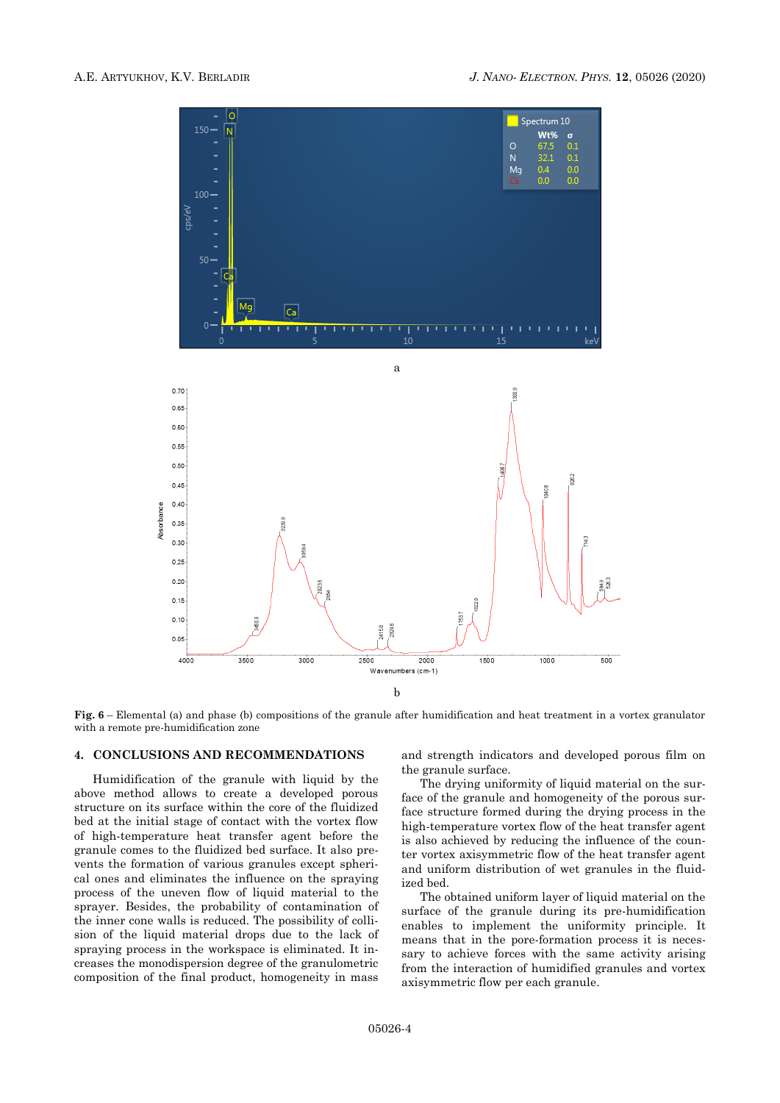

**Fig. 6** – Elemental (a) and phase (b) compositions of the granule after humidification and heat treatment in a vortex granulator with a remote pre-humidification zone

## **4. CONCLUSIONS AND RECOMMENDATIONS**

Humidification of the granule with liquid by the above method allows to create a developed porous structure on its surface within the core of the fluidized bed at the initial stage of contact with the vortex flow of high-temperature heat transfer agent before the granule comes to the fluidized bed surface. It also prevents the formation of various granules except spherical ones and eliminates the influence on the spraying process of the uneven flow of liquid material to the sprayer. Besides, the probability of contamination of the inner cone walls is reduced. The possibility of collision of the liquid material drops due to the lack of spraying process in the workspace is eliminated. It increases the monodispersion degree of the granulometric composition of the final product, homogeneity in mass

and strength indicators and developed porous film on the granule surface.

The drying uniformity of liquid material on the surface of the granule and homogeneity of the porous surface structure formed during the drying process in the high-temperature vortex flow of the heat transfer agent is also achieved by reducing the influence of the counter vortex axisymmetric flow of the heat transfer agent and uniform distribution of wet granules in the fluidized bed.

The obtained uniform layer of liquid material on the surface of the granule during its pre-humidification enables to implement the uniformity principle. It means that in the pore-formation process it is necessary to achieve forces with the same activity arising from the interaction of humidified granules and vortex axisymmetric flow per each granule.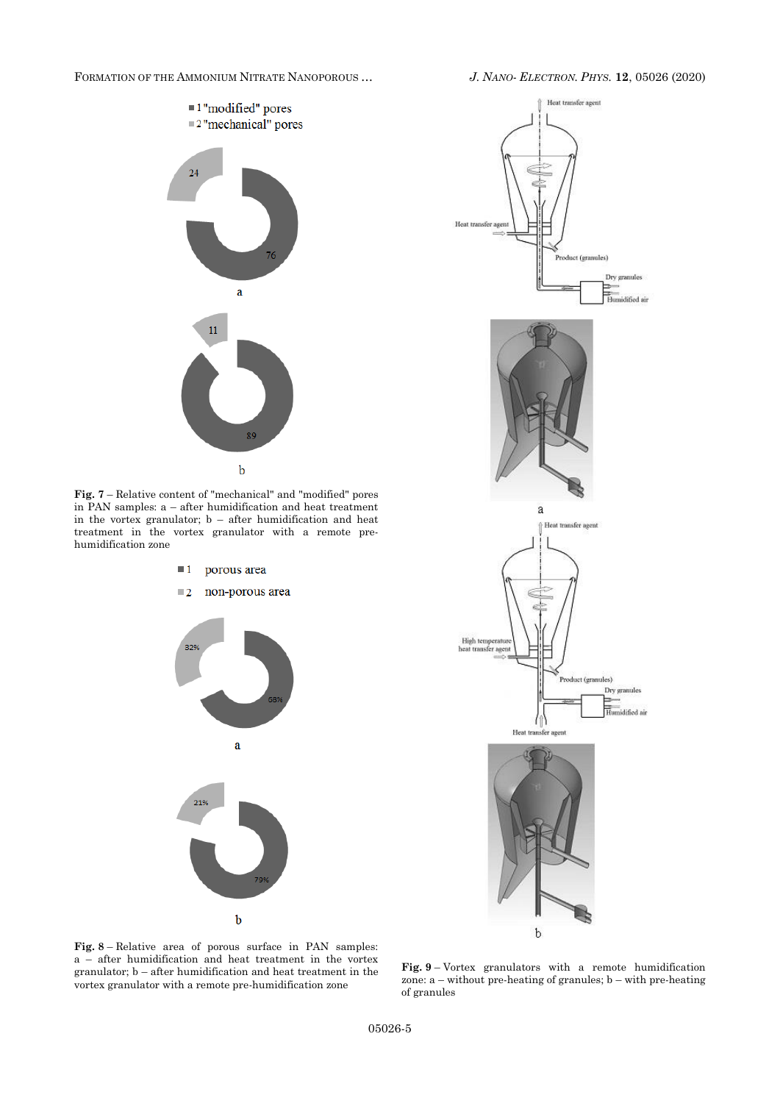FORMATION OF THE AMMONIUM NITRATE NANOPOROUS … *J. NANO- ELECTRON. PHYS.* **12**, [05026](#page-0-0) (2020)



**Fig. 7** – Relative content of "mechanical" and "modified" pores in PAN samples: a – after humidification and heat treatment in the vortex granulator; b – after humidification and heat treatment in the vortex granulator with a remote prehumidification zone





**Fig. 8** – Relative area of porous surface in PAN samples: a – after humidification and heat treatment in the vortex granulator; b – after humidification and heat treatment in the vortex granulator with a remote pre-humidification zone

**Fig. 9** – Vortex granulators with a remote humidification zone:  $a$  – without pre-heating of granules;  $b$  – with pre-heating of granules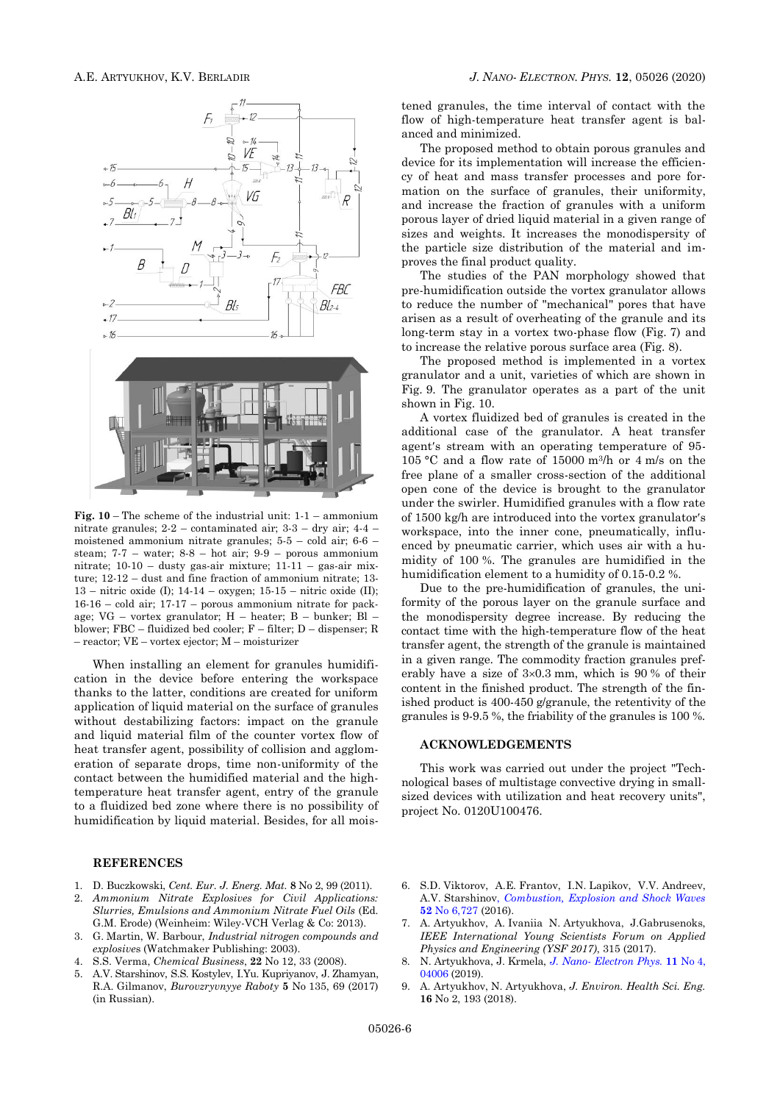

**Fig. 10** – The scheme of the industrial unit: 1-1 – ammonium nitrate granules; 2-2 – contaminated air; 3-3 – dry air; 4-4 – moistened ammonium nitrate granules; 5-5 – cold air; 6-6 – steam;  $7-7$  – water;  $8-8$  – hot air;  $9-9$  – porous ammonium nitrate; 10-10 – dusty gas-air mixture; 11-11 – gas-air mixture; 12-12 – dust and fine fraction of ammonium nitrate; 13- 13 – nitric oxide (I); 14-14 – oxygen; 15-15 – nitric oxide (II); 16-16 – cold air; 17-17 – porous ammonium nitrate for package; VG – vortex granulator; H – heater; B – bunker; Bl – blower; FBC – fluidized bed cooler; F – filter; D – dispenser; R – reactor; VE – vortex ejector; M – moisturizer

When installing an element for granules humidification in the device before entering the workspace thanks to the latter, conditions are created for uniform application of liquid material on the surface of granules without destabilizing factors: impact on the granule and liquid material film of the counter vortex flow of heat transfer agent, possibility of collision and agglomeration of separate drops, time non-uniformity of the contact between the humidified material and the hightemperature heat transfer agent, entry of the granule to a fluidized bed zone where there is no possibility of humidification by liquid material. Besides, for all mois-

#### **REFERENCES**

- 1. D. Buczkowski, *Cent. Eur. J. Energ. Mat.* **8** No 2, 99 (2011).
- 2. *Ammonium Nitrate Explosives for Civil Applications: Slurries, Emulsions and Ammonium Nitrate Fuel Oils* (Ed. G.M. Erode) (Weinheim: Wiley-VCH Verlag & Co: 2013).
- 3. G. Martin, W. Barbour, *Industrial nitrogen compounds and explosive*s (Watchmaker Publishing: 2003).
- 4. S.S. Verma, *Chemical Business*, **22** No 12, 33 (2008).
- 5. A.V. Starshinov, S.S. Kostylev, I.Yu. Kupriyanov, J. Zhamyan, R.A. Gilmanov, *Burovzryvnyye Raboty* **5** No 135, 69 (2017) (in Russian).

tened granules, the time interval of contact with the flow of high-temperature heat transfer agent is balanced and minimized.

The proposed method to obtain porous granules and device for its implementation will increase the efficiency of heat and mass transfer processes and pore formation on the surface of granules, their uniformity, and increase the fraction of granules with a uniform porous layer of dried liquid material in a given range of sizes and weights. It increases the monodispersity of the particle size distribution of the material and improves the final product quality.

The studies of the PAN morphology showed that pre-humidification outside the vortex granulator allows to reduce the number of "mechanical" pores that have arisen as a result of overheating of the granule and its long-term stay in a vortex two-phase flow (Fig. 7) and to increase the relative porous surface area (Fig. 8).

The proposed method is implemented in a vortex granulator and a unit, varieties of which are shown in Fig. 9. The granulator operates as a part of the unit shown in Fig. 10.

A vortex fluidized bed of granules is created in the additional case of the granulator. A heat transfer agent's stream with an operating temperature of 95-105 °С and a flow rate of 15000 m<sup>3</sup> /h or 4 m/s on the free plane of a smaller cross-section of the additional open cone of the device is brought to the granulator under the swirler. Humidified granules with a flow rate of 1500 kg/h are introduced into the vortex granulator's workspace, into the inner cone, pneumatically, influenced by pneumatic carrier, which uses air with a humidity of 100 %. The granules are humidified in the humidification element to a humidity of 0.15-0.2 %.

Due to the pre-humidification of granules, the uniformity of the porous layer on the granule surface and the monodispersity degree increase. By reducing the contact time with the high-temperature flow of the heat transfer agent, the strength of the granule is maintained in a given range. The commodity fraction granules preferably have a size of  $3\times0.3$  mm, which is 90 % of their content in the finished product. The strength of the finished product is 400-450 g/granule, the retentivity of the granules is 9-9.5 %, the friability of the granules is 100 %.

## **ACKNOWLEDGEMENTS**

This work was carried out under the project "Technological bases of multistage convective drying in smallsized devices with utilization and heat recovery units", project No. 0120U100476.

- 6. S.D. Viktorov, A.E. Frantov, I.N. Lapikov, V.V. Andreev, A.V. Starshinov, *[Combustion, Explosion and Shock Waves](https://doi.org/10.1134/S0010508216060137)* **52** [No 6,727](https://doi.org/10.1134/S0010508216060137) (2016).
- 7. A. Artyukhov, A. Ivaniia N. Artyukhova, J.Gabrusenoks, *IEEE International Young Scientists Forum on Applied Physics and Engineering (YSF 2017)*, 315 (2017).
- 8. N. Artyukhova, J. Krmela, *J. Nano- [Electron Phys.](https://doi.org/10.21272/jnep.10(3).03030)* **11** No 4, [04006](https://doi.org/10.21272/jnep.10(3).03030) (2019).
- 9. A. Artyukhov, N. Artyukhova, *J. Environ. Health Sci. Eng.*  **16** No 2, 193 (2018).